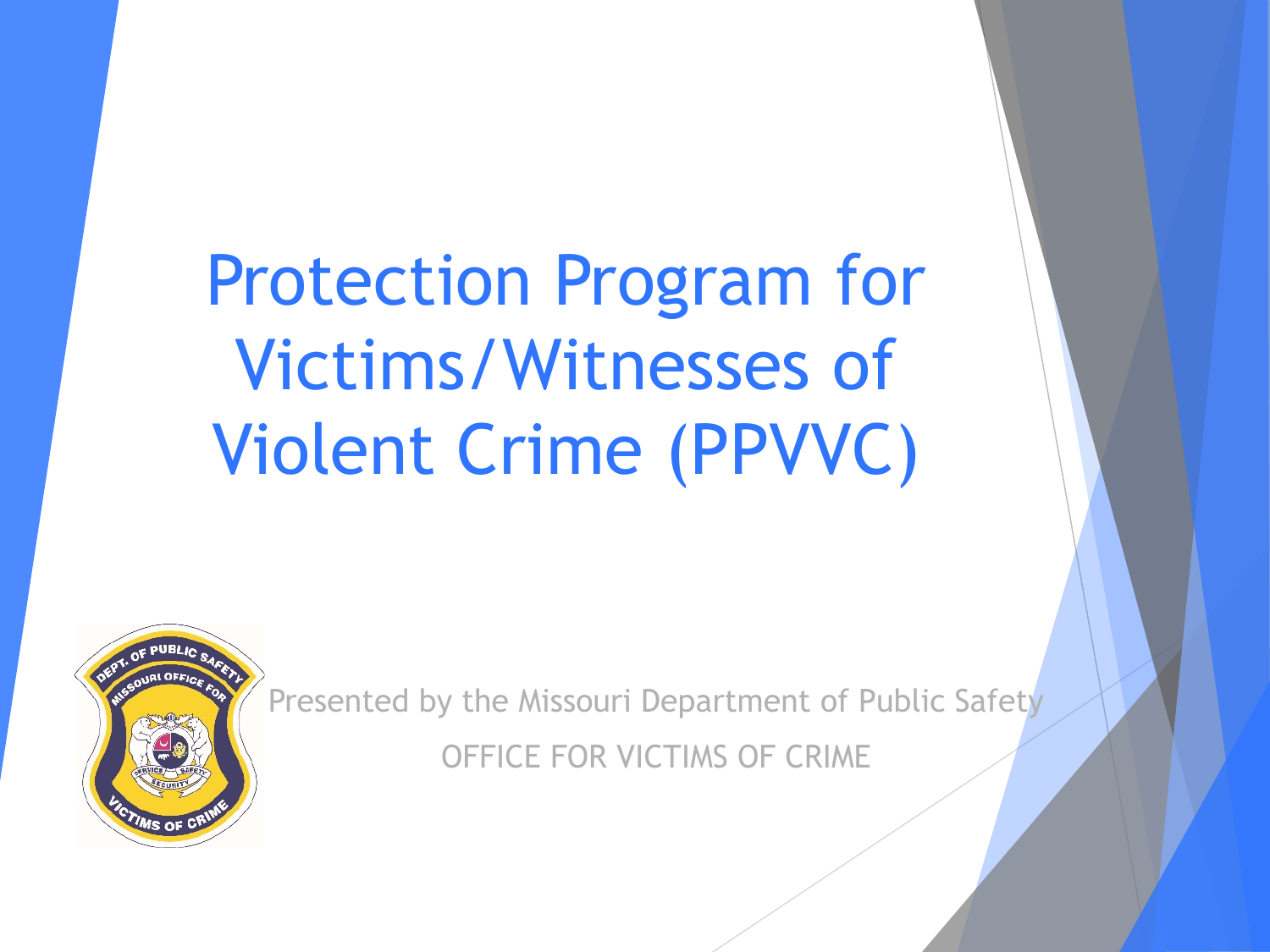Protection Program for Victims/Witnesses of Violent Crime (PPVVC)



Presented by the Missouri Department of Public Safety OFFICE FOR VICTIMS OF CRIME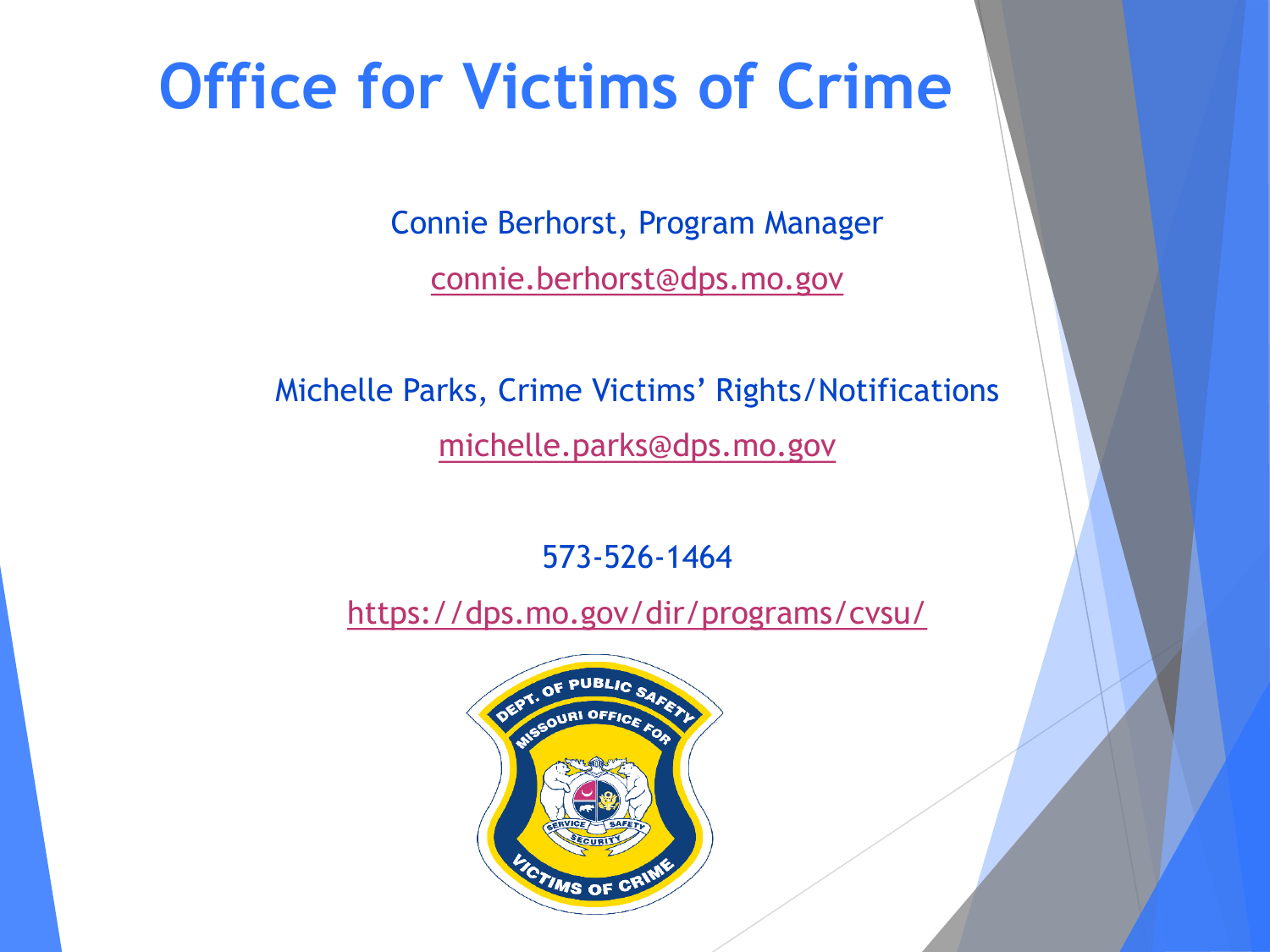### **Office for Victims of Crime**

Connie Berhorst, Program Manager [connie.berhorst@dps.mo.gov](mailto:connie.berhorst@dps.mo.gov)

Michelle Parks, Crime Victims' Rights/Notifications [michelle.parks@dps.mo.gov](mailto:michelle.parks@dps.mo.gov)

573-526-1464

<https://dps.mo.gov/dir/programs/cvsu/>

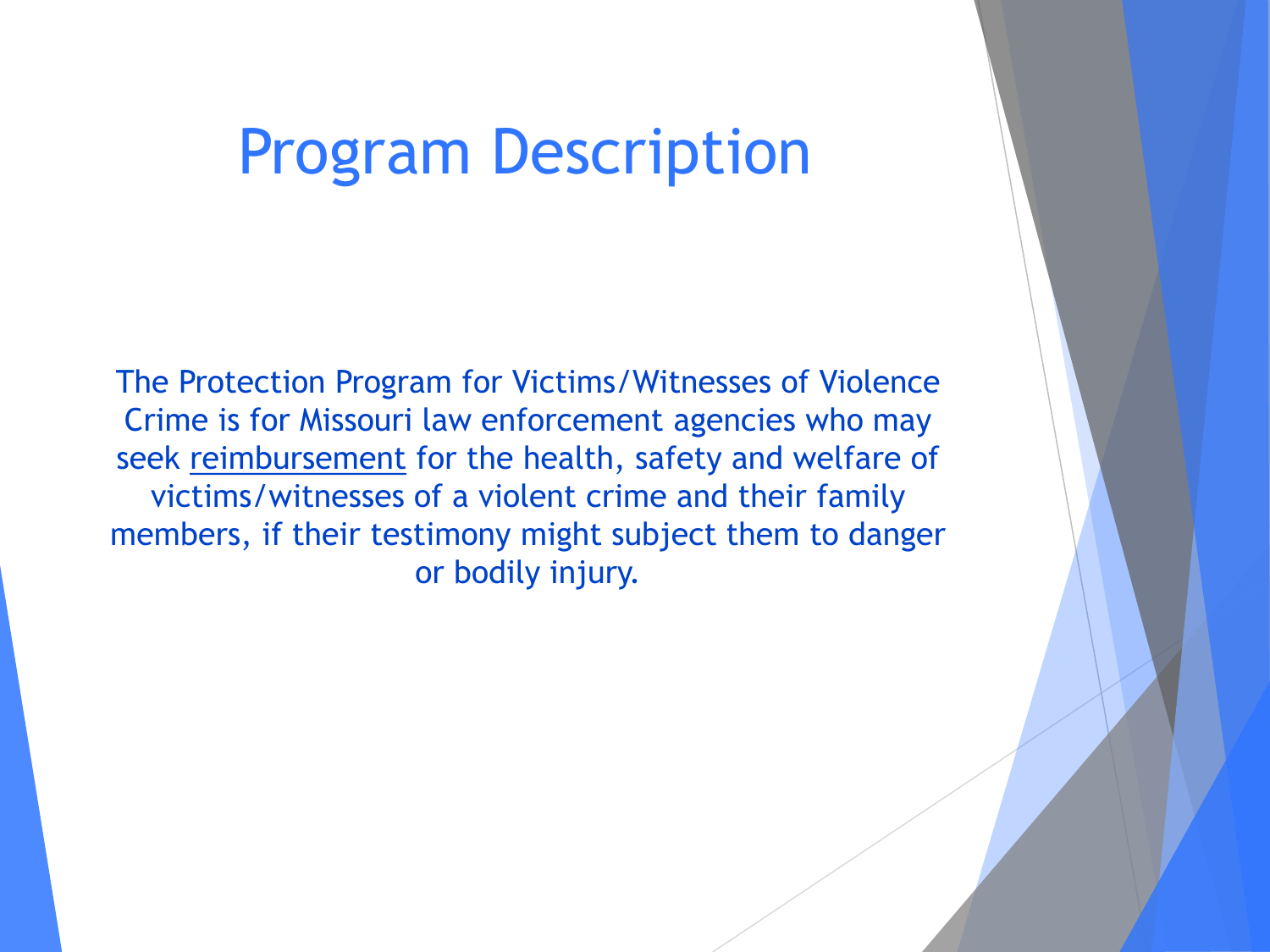#### Program Description

The Protection Program for Victims/Witnesses of Violence Crime is for Missouri law enforcement agencies who may seek reimbursement for the health, safety and welfare of victims/witnesses of a violent crime and their family members, if their testimony might subject them to danger or bodily injury.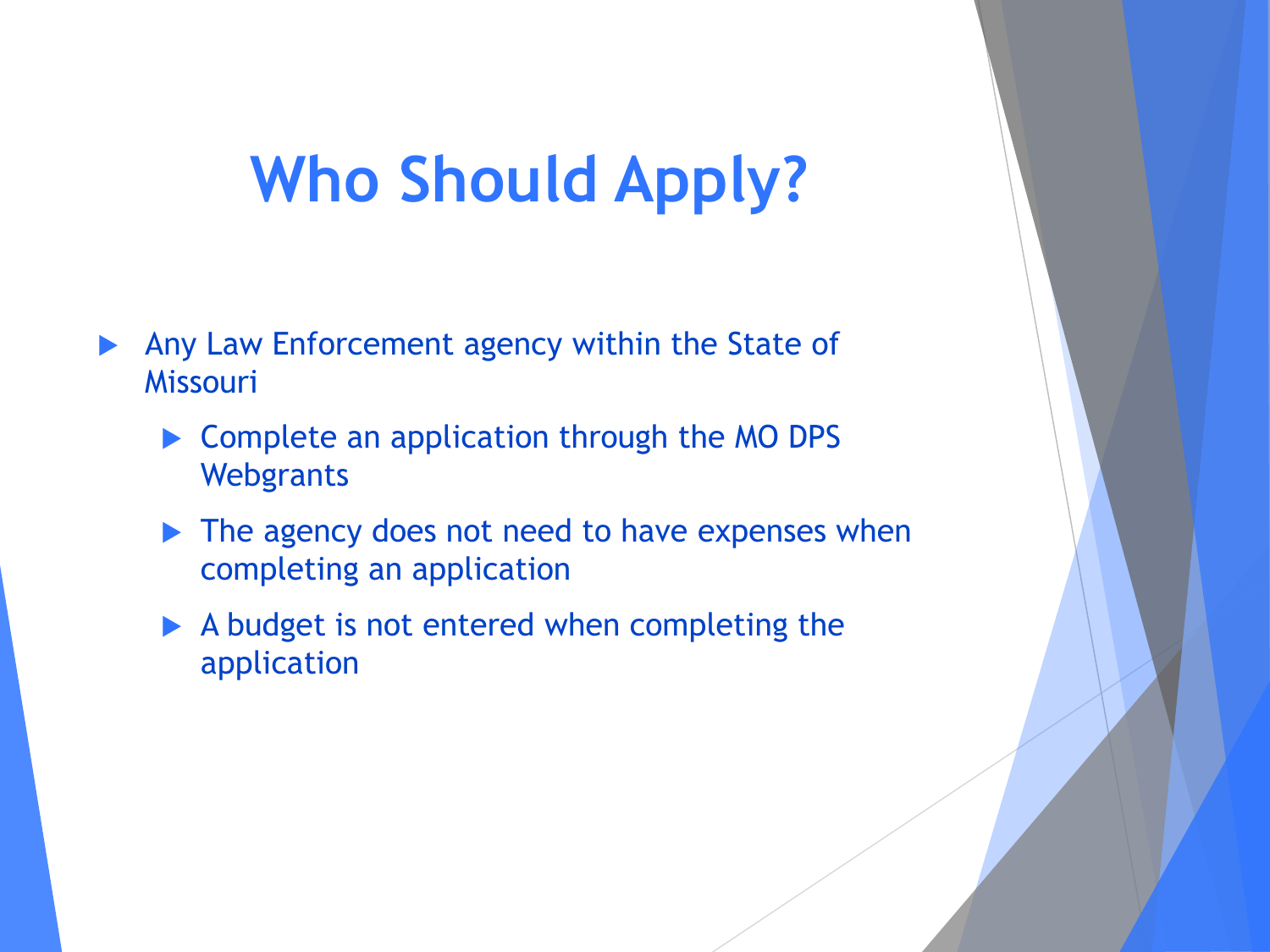## **Who Should Apply?**

- Any Law Enforcement agency within the State of Missouri
	- ▶ Complete an application through the MO DPS **Webgrants**
	- ▶ The agency does not need to have expenses when completing an application
	- A budget is not entered when completing the application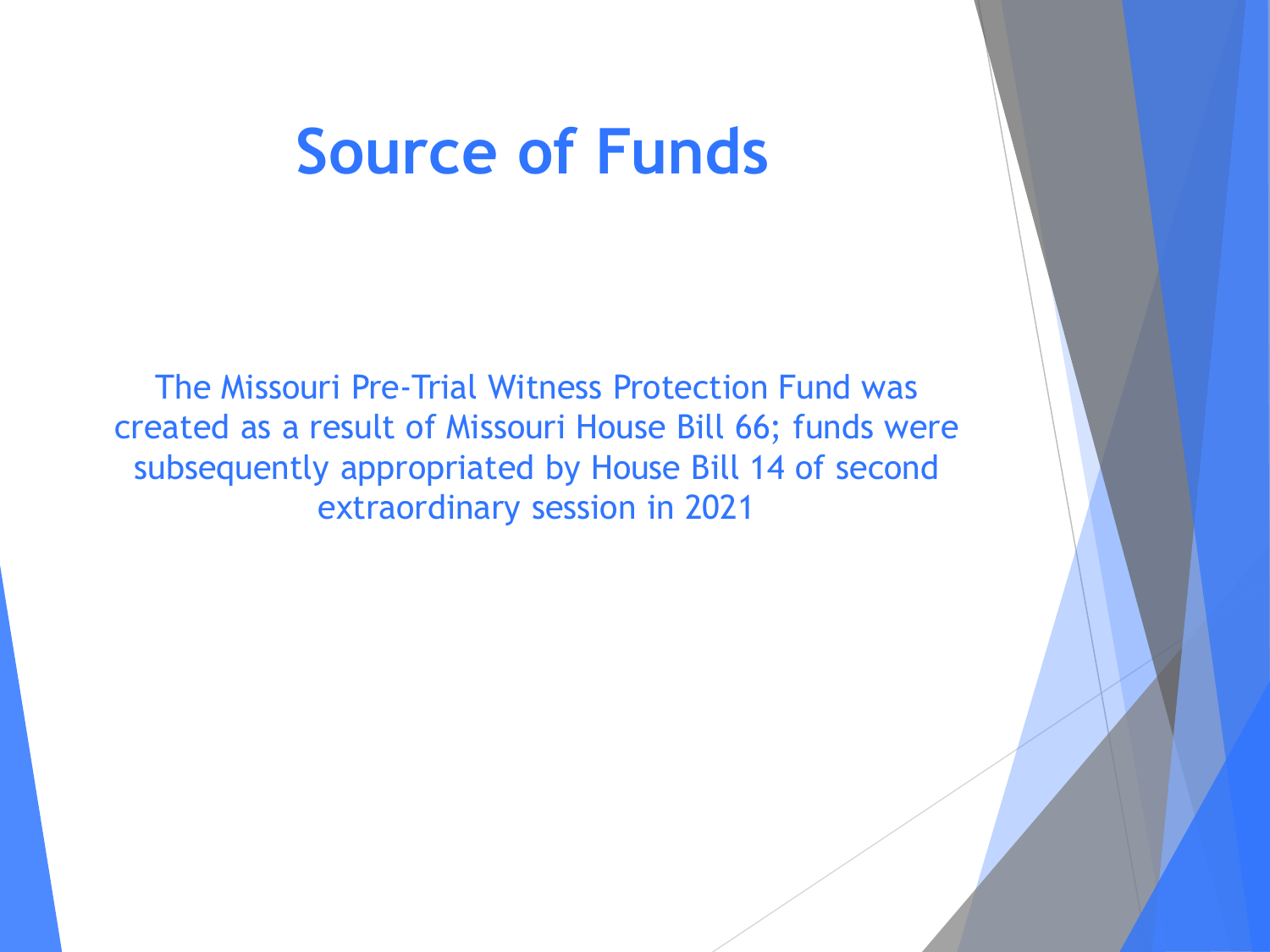#### **Source of Funds**

The Missouri Pre-Trial Witness Protection Fund was created as a result of Missouri House Bill 66; funds were subsequently appropriated by House Bill 14 of second extraordinary session in 2021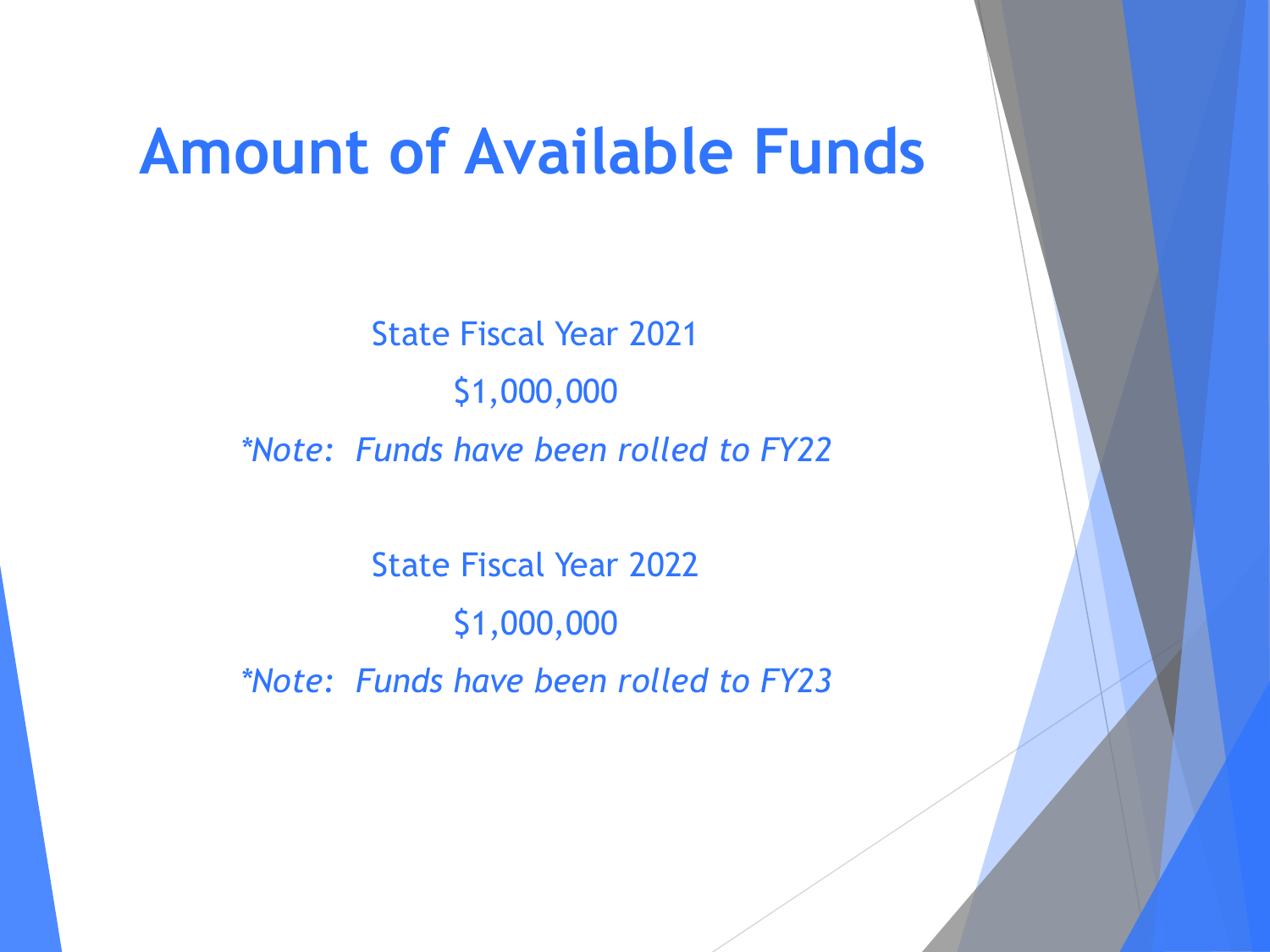#### **Amount of Available Funds**

State Fiscal Year 2021 \$1,000,000 *\*Note: Funds have been rolled to FY22*

State Fiscal Year 2022 \$1,000,000 *\*Note: Funds have been rolled to FY23*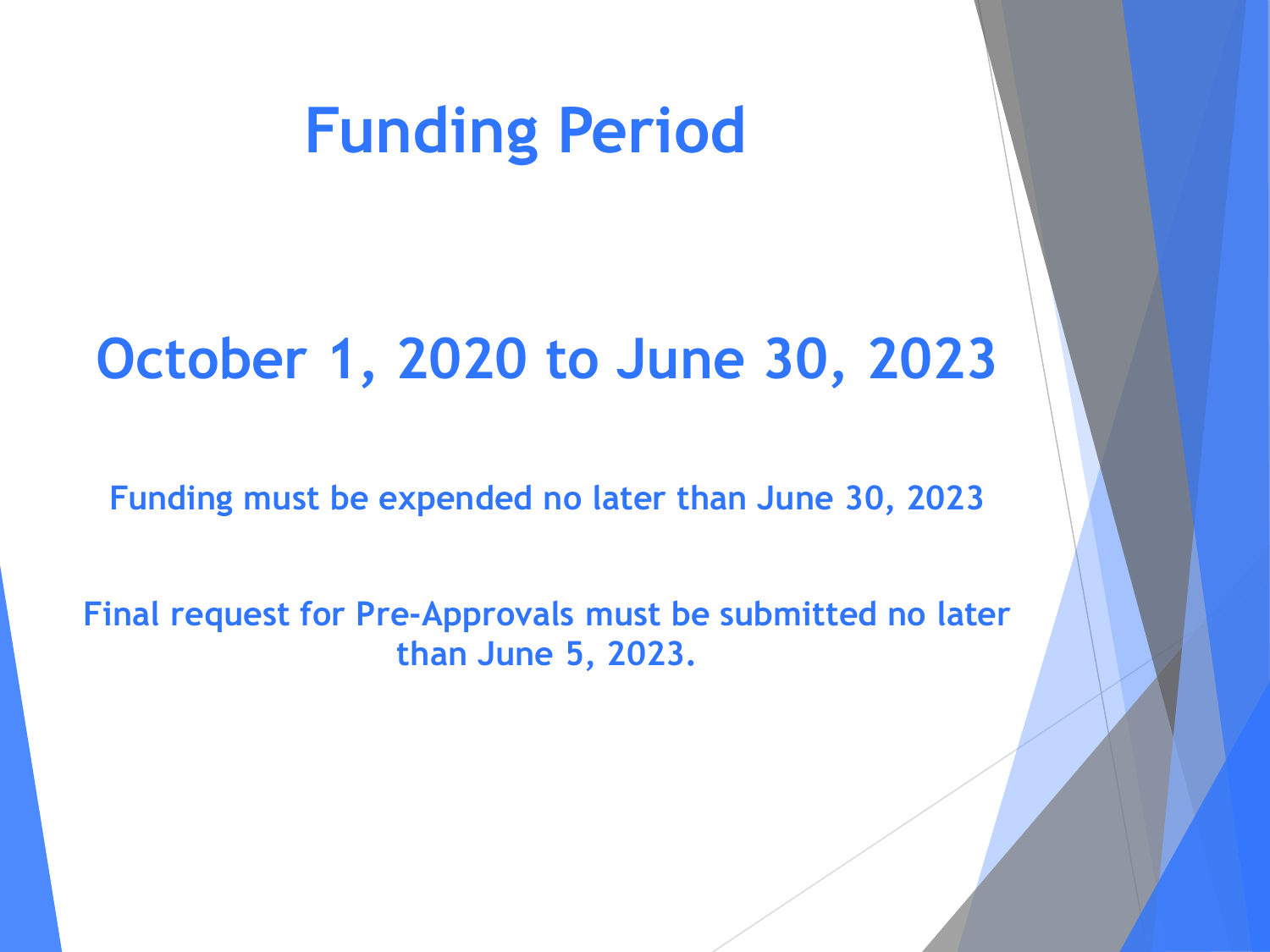#### **Funding Period**

#### **October 1, 2020 to June 30, 2023**

**Funding must be expended no later than June 30, 2023**

**Final request for Pre-Approvals must be submitted no later than June 5, 2023.**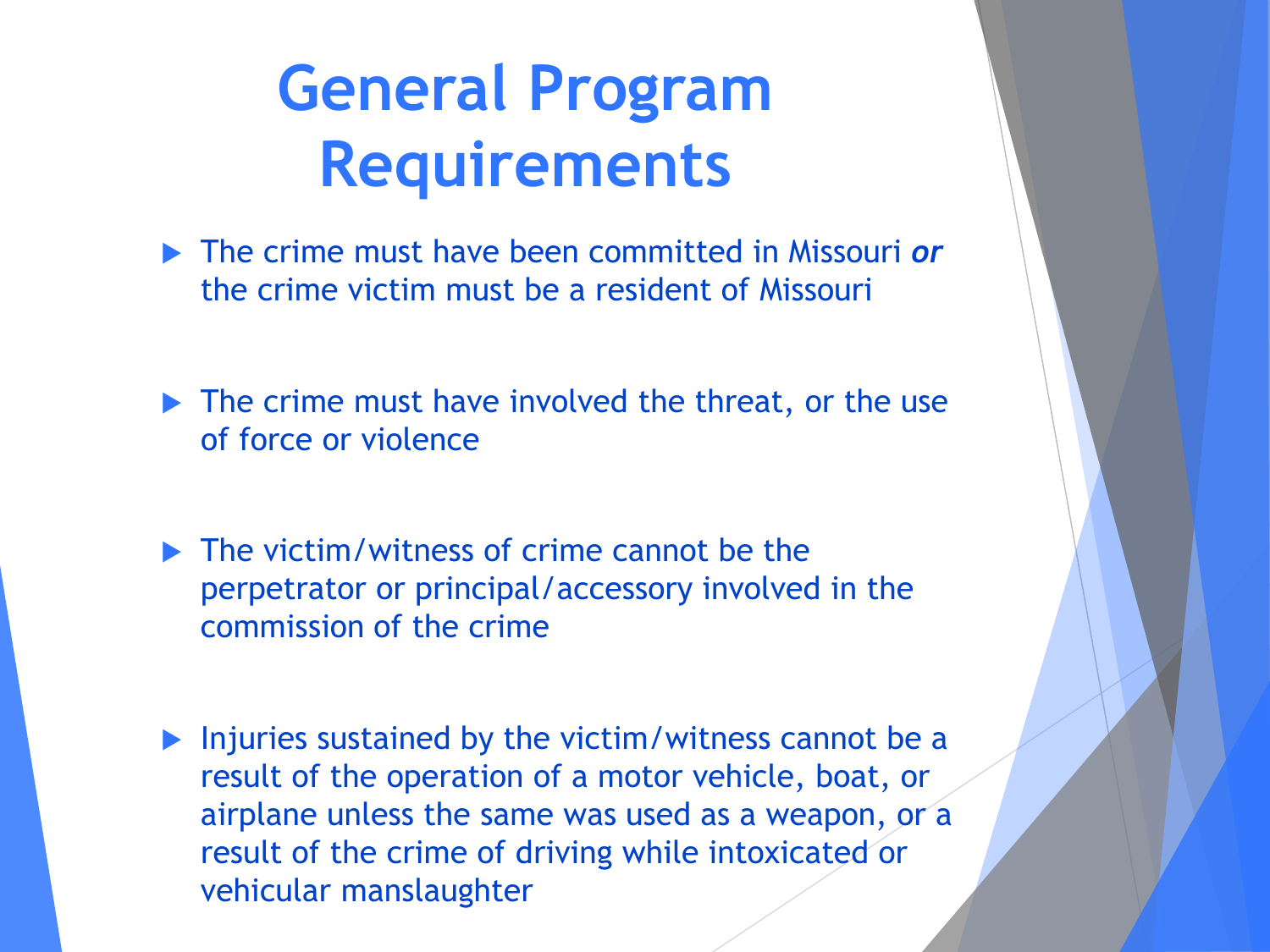# **General Program Requirements**

- The crime must have been committed in Missouri *or* the crime victim must be a resident of Missouri
- The crime must have involved the threat, or the use of force or violence
- $\blacktriangleright$  The victim/witness of crime cannot be the perpetrator or principal/accessory involved in the commission of the crime
- **Injuries sustained by the victim/witness cannot be a** result of the operation of a motor vehicle, boat, or airplane unless the same was used as a weapon, or a result of the crime of driving while intoxicated or vehicular manslaughter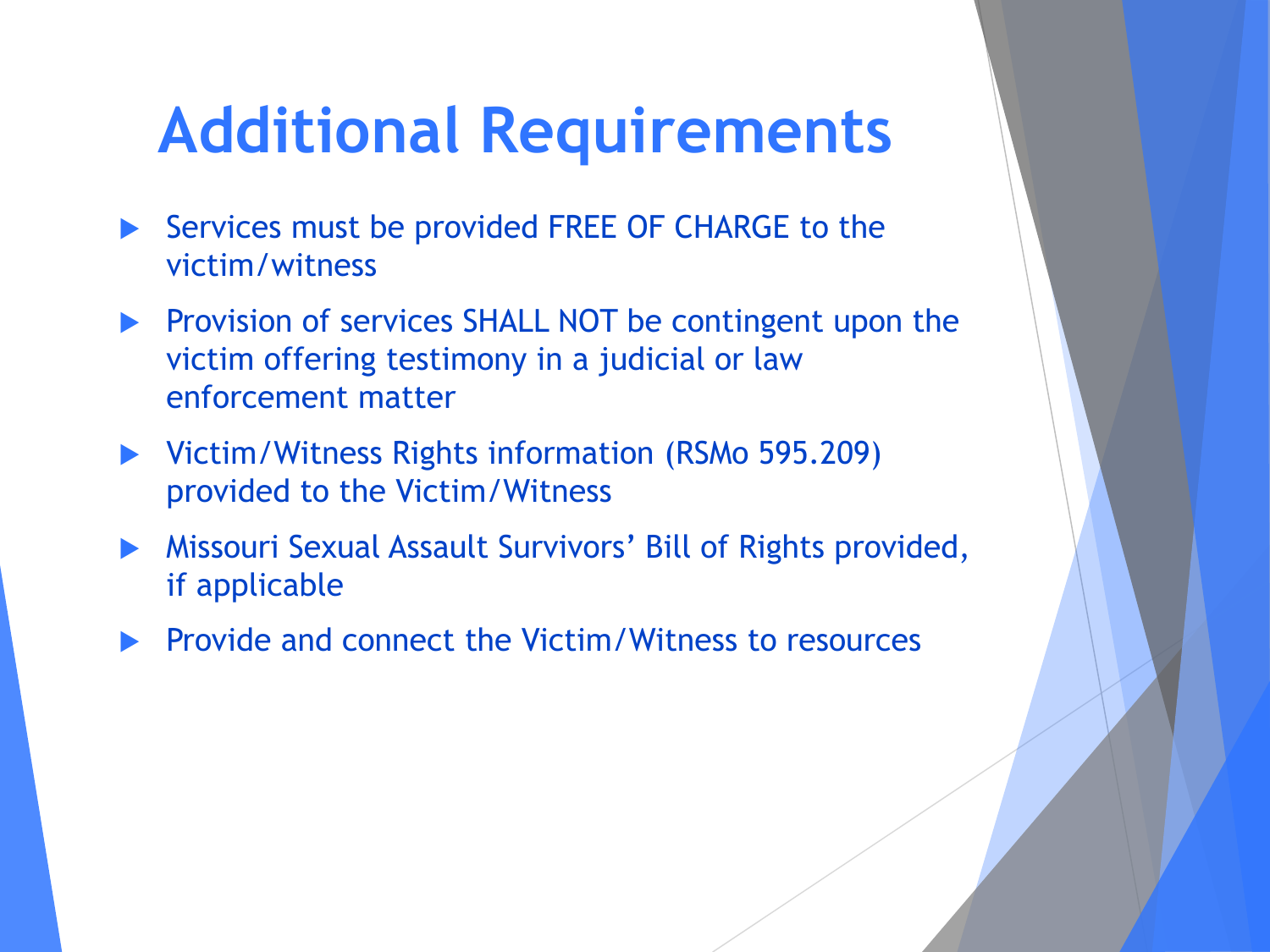### **Additional Requirements**

- Services must be provided FREE OF CHARGE to the victim/witness
- **Provision of services SHALL NOT be contingent upon the** victim offering testimony in a judicial or law enforcement matter
- ▶ Victim/Witness Rights information (RSMo 595.209) provided to the Victim/Witness
- Missouri Sexual Assault Survivors' Bill of Rights provided, if applicable
- $\blacktriangleright$  Provide and connect the Victim/Witness to resources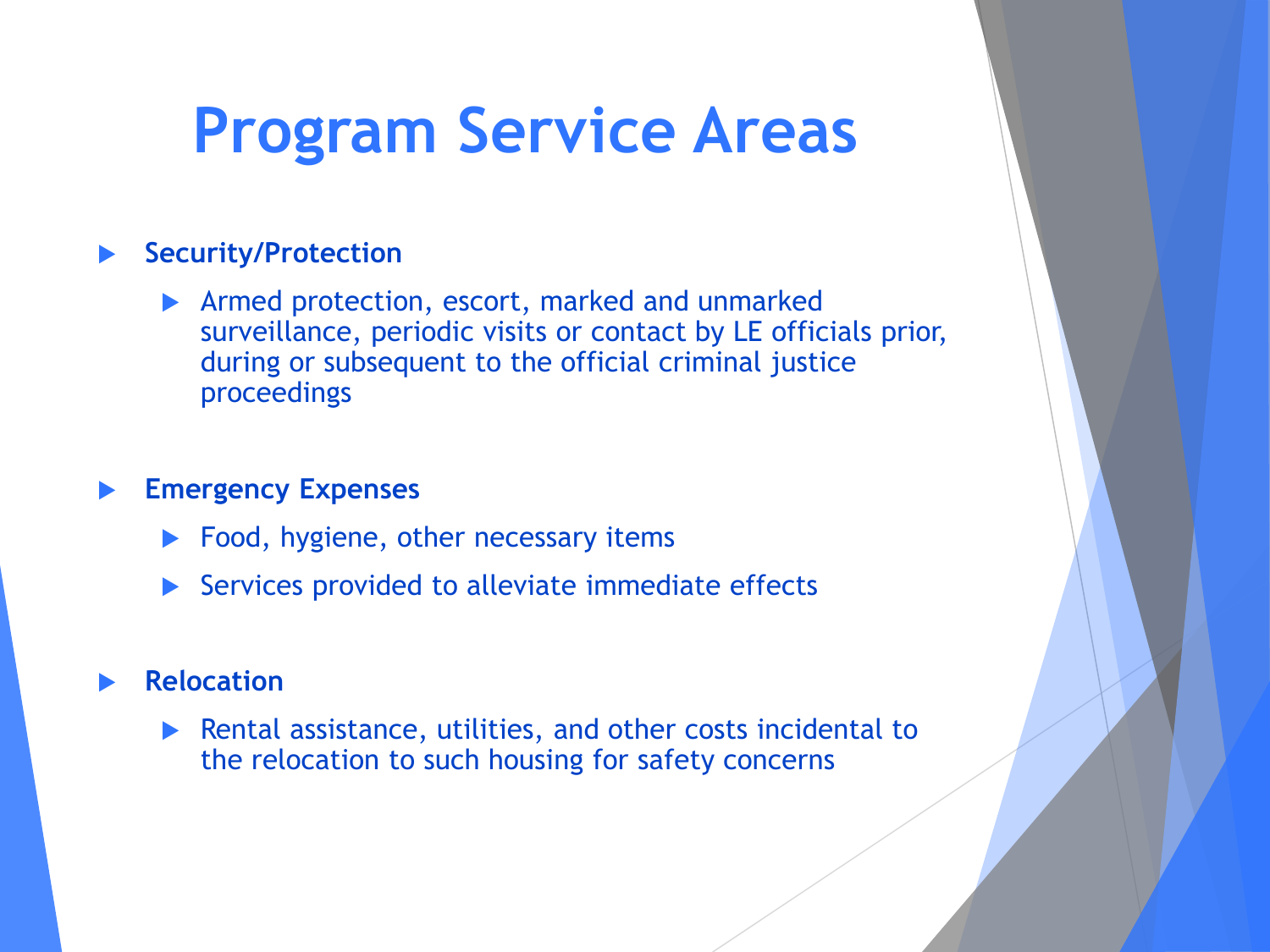### **Program Service Areas**

#### **Security/Protection**

**Armed protection, escort, marked and unmarked** surveillance, periodic visits or contact by LE officials prior, during or subsequent to the official criminal justice proceedings

#### **Emergency Expenses**

- ▶ Food, hygiene, other necessary items
- $\triangleright$  Services provided to alleviate immediate effects

#### **Relocation**

 Rental assistance, utilities, and other costs incidental to the relocation to such housing for safety concerns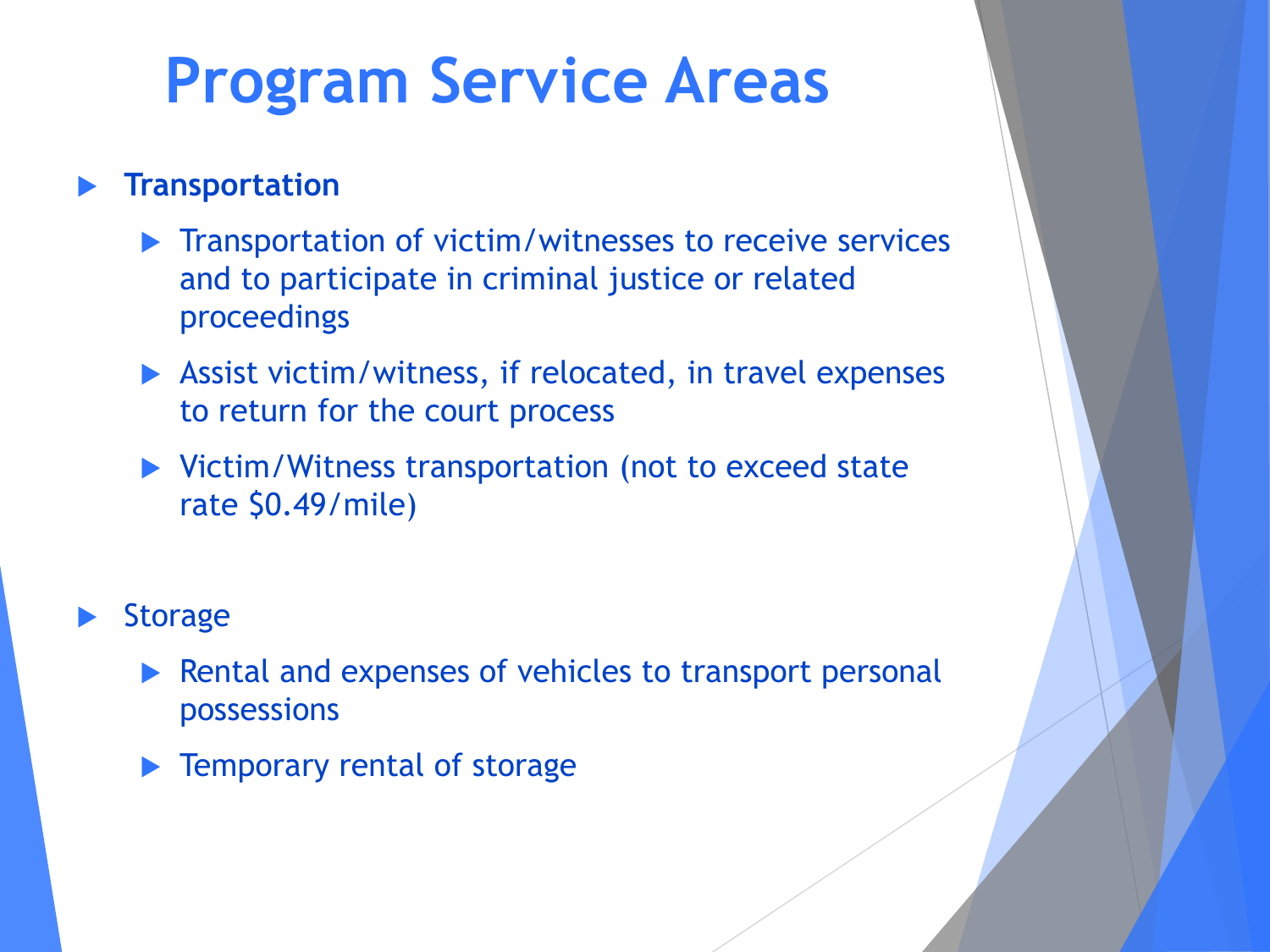## **Program Service Areas**

#### **Transportation**

- **Transportation of victim/witnesses to receive services** and to participate in criminal justice or related proceedings
- Assist victim/witness, if relocated, in travel expenses to return for the court process
- ▶ Victim/Witness transportation (not to exceed state rate \$0.49/mile)

#### **Storage**

- Rental and expenses of vehicles to transport personal possessions
- Temporary rental of storage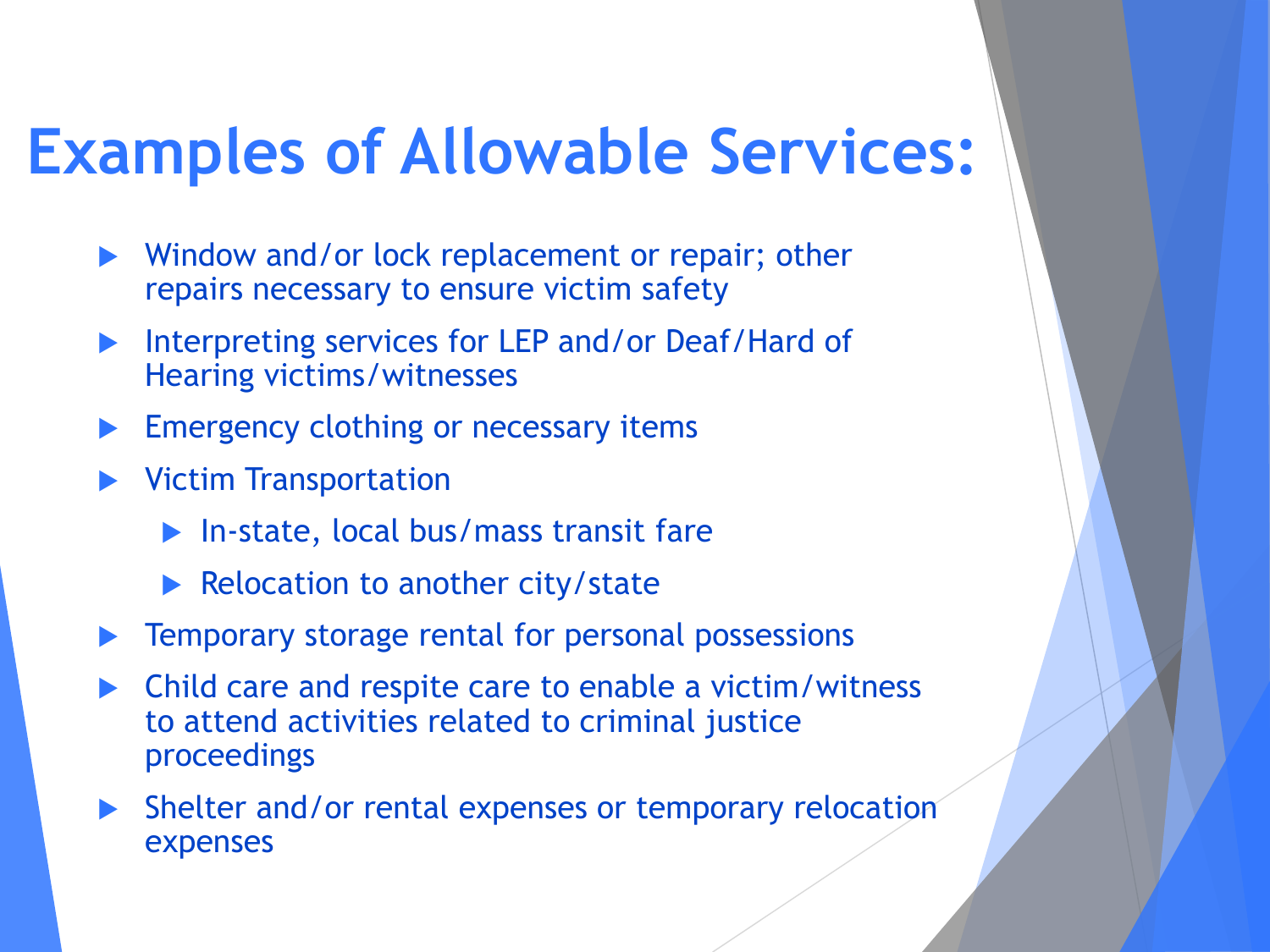### **Examples of Allowable Services:**

- Window and/or lock replacement or repair; other repairs necessary to ensure victim safety
- Interpreting services for LEP and/or Deaf/Hard of Hearing victims/witnesses
- Emergency clothing or necessary items
- Victim Transportation
	- ▶ In-state, local bus/mass transit fare
	- $\blacktriangleright$  Relocation to another city/state
- Temporary storage rental for personal possessions
- Child care and respite care to enable a victim/witness to attend activities related to criminal justice proceedings
- Shelter and/or rental expenses or temporary relocation expenses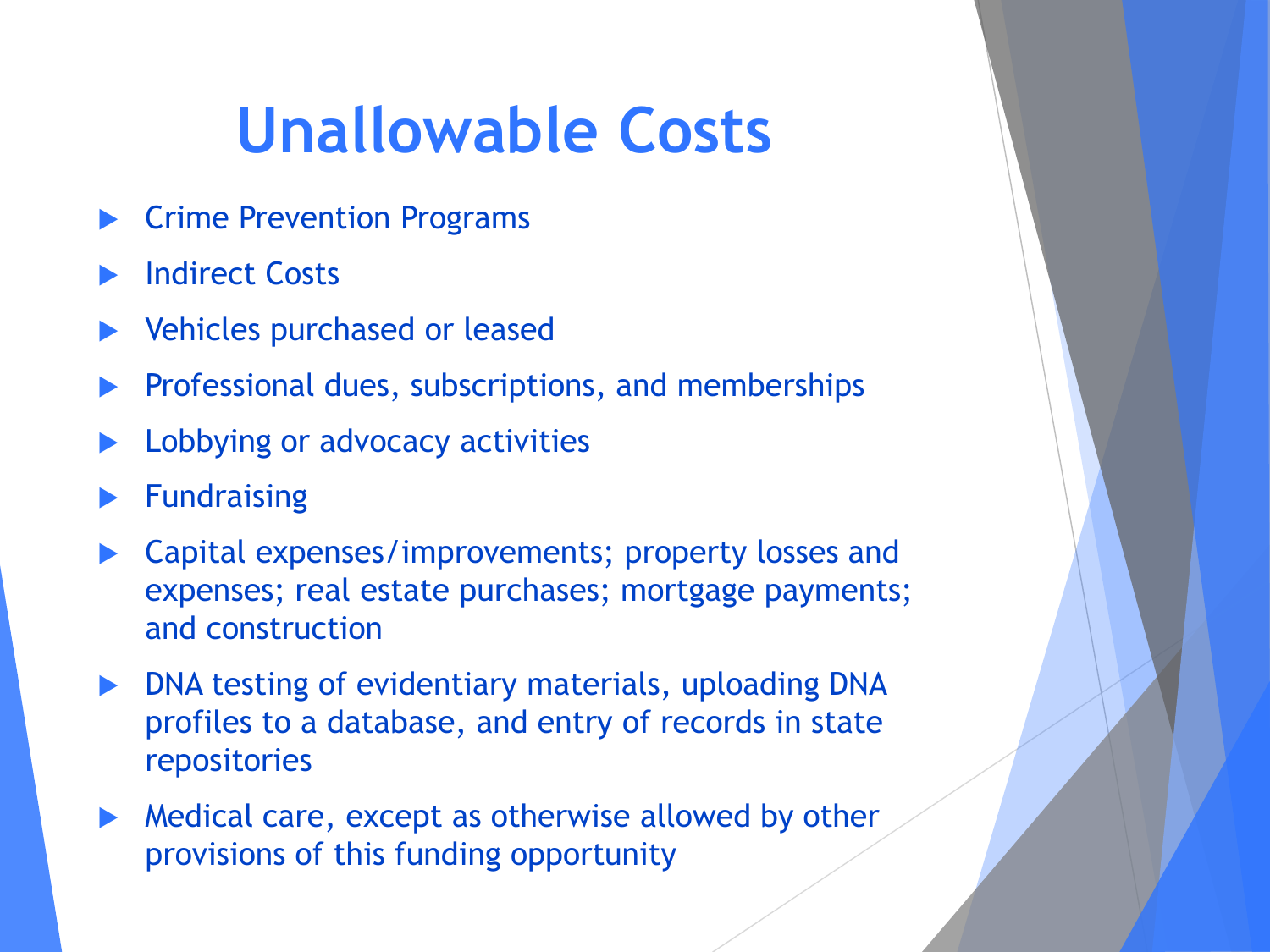# **Unallowable Costs**

- Crime Prevention Programs
- Indirect Costs
- Vehicles purchased or leased
- Professional dues, subscriptions, and memberships
- Lobbying or advocacy activities
- Fundraising
- Capital expenses/improvements; property losses and expenses; real estate purchases; mortgage payments; and construction
- DNA testing of evidentiary materials, uploading DNA profiles to a database, and entry of records in state repositories
- Medical care, except as otherwise allowed by other provisions of this funding opportunity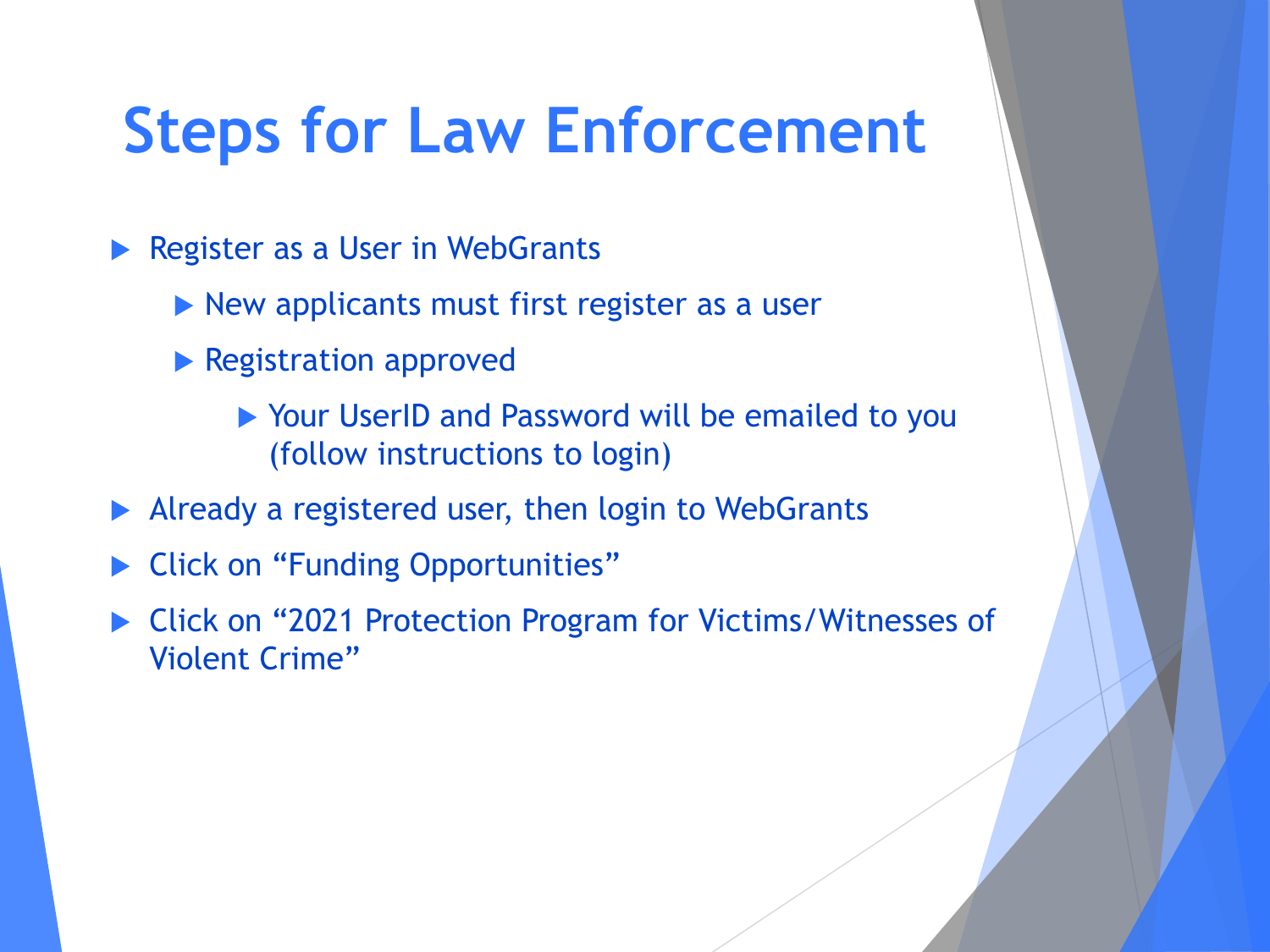## **Steps for Law Enforcement**

- Register as a User in WebGrants
	- New applicants must first register as a user
	- **Registration approved** 
		- ▶ Your UserID and Password will be emailed to you (follow instructions to login)
- Already a registered user, then login to WebGrants
- Click on "Funding Opportunities"
- ▶ Click on "2021 Protection Program for Victims/Witnesses of Violent Crime"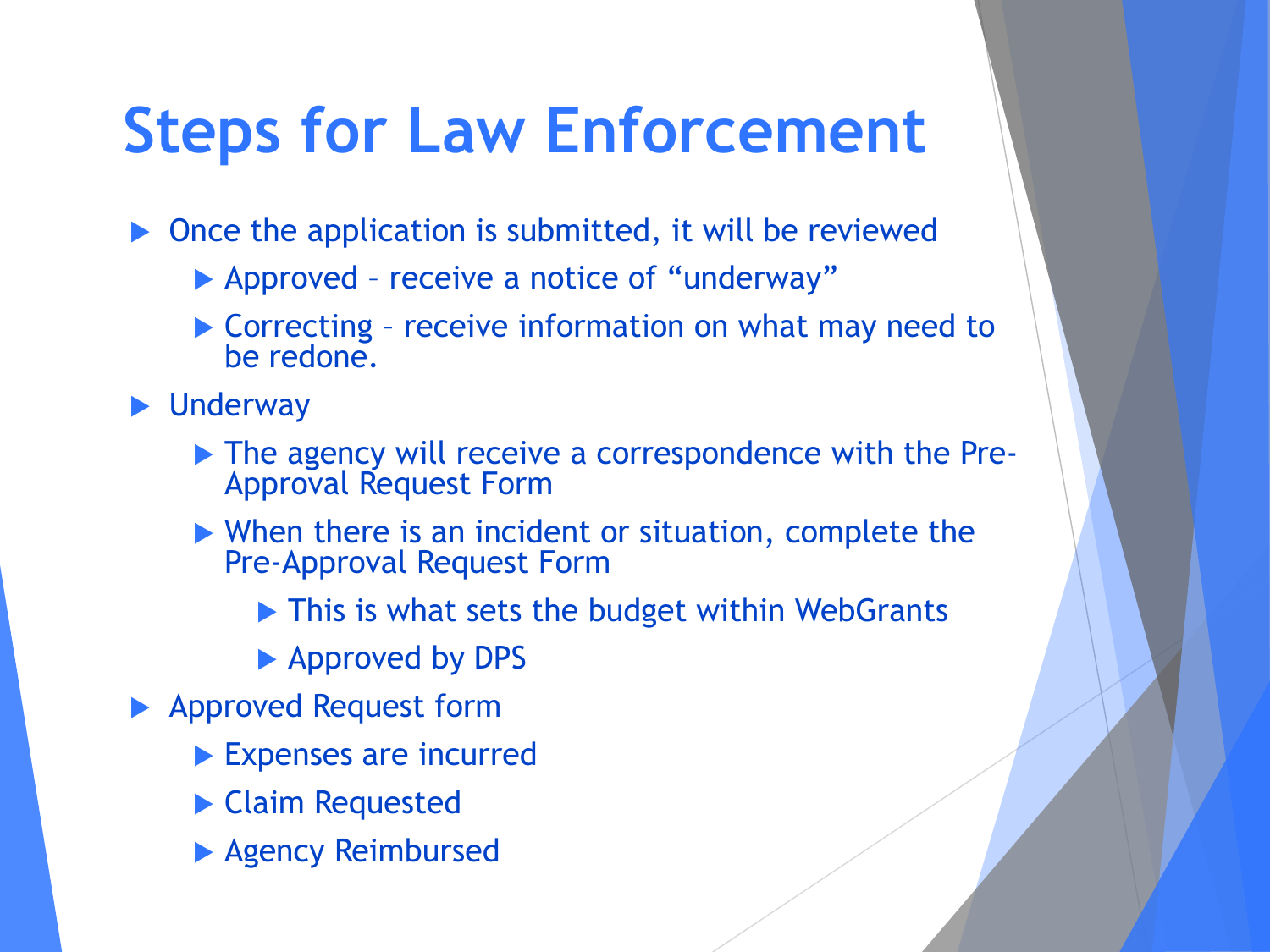## **Steps for Law Enforcement**

 $\triangleright$  Once the application is submitted, it will be reviewed

- Approved receive a notice of "underway"
- Correcting receive information on what may need to be redone.

**D** Underway

- The agency will receive a correspondence with the Pre-<br>Approval Request Form
- When there is an incident or situation, complete the Pre-Approval Request Form
	- ▶ This is what sets the budget within WebGrants
	- ▶ Approved by DPS
- ▶ Approved Request form
	- Expenses are incurred
	- Claim Requested
	- **Agency Reimbursed**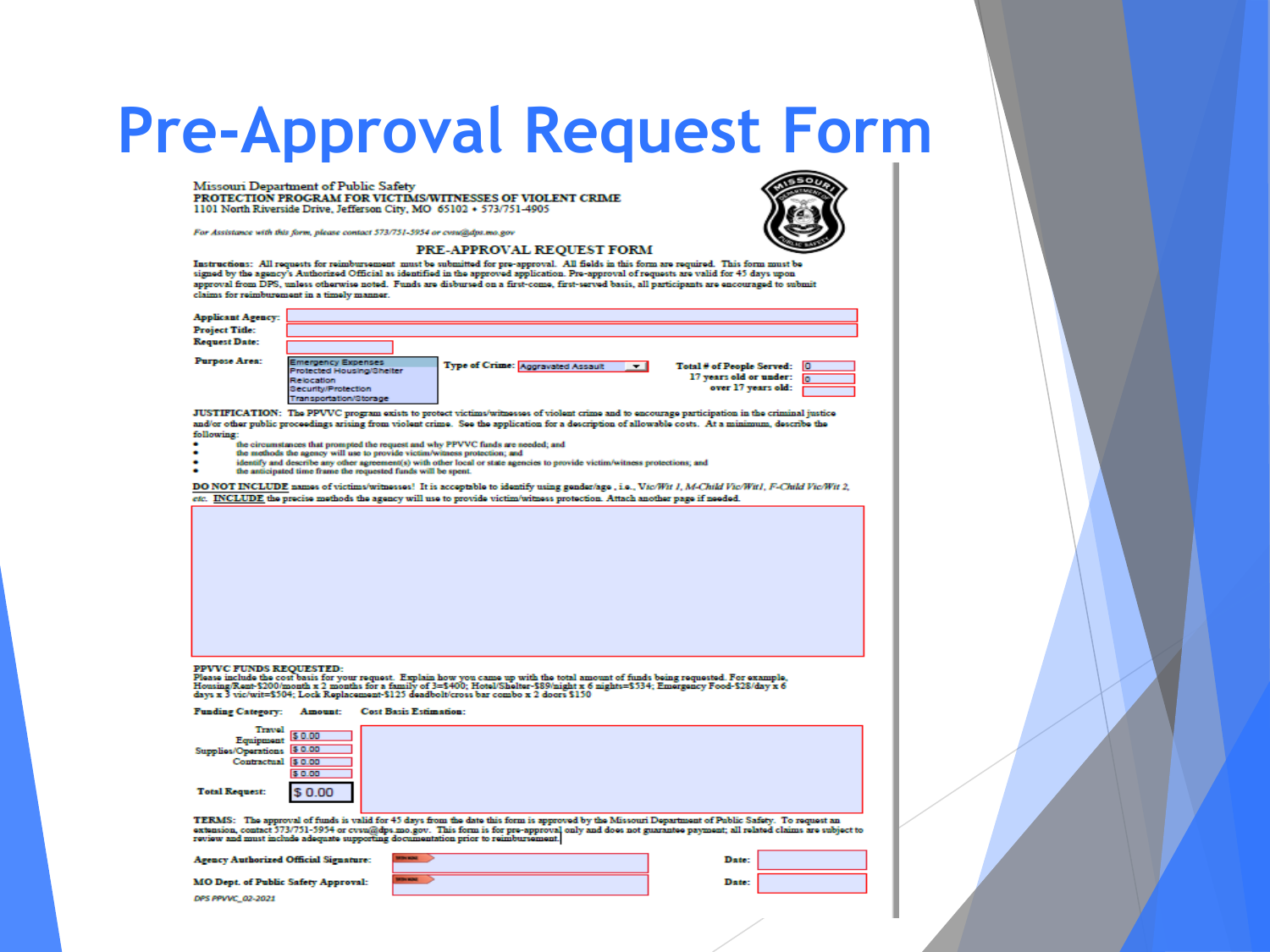#### **Pre-Approval Request Form**

Missouri Department of Public Safety PROTECTION PROGRAM FOR VICTIMS/WITNESSES OF VIOLENT CRIME 1101 North Riverside Drive, Jefferson City, MO 65102 + 573/751-4905

For Assistance with this form, please contact 573/751-5954 or cosu@dps.mo.gov

#### PRE-APPROVAL REQUEST FORM

Instructions: All requests for reimbursement must be submitted for pre-approval. All fields in this form are required. This form must be<br>signed by the agency's Authorized Official as identified in the approved application. approval from DPS, unless otherwise noted. Funds are disbursed on a first-come, first-served basis, all participants are encouraged to submit claims for reimburement in a timely manner.

| <b>Applicant Agency:</b>                                                                                                                                                                                                                                                                                                                                                                                |                                                                                                                                                                                                                                                                                                                                                                                                                                                                                                                                                                                                |                               |                                   |                                                                                                                           |                                                                                                                                                  |                                                                                                                                                          |
|---------------------------------------------------------------------------------------------------------------------------------------------------------------------------------------------------------------------------------------------------------------------------------------------------------------------------------------------------------------------------------------------------------|------------------------------------------------------------------------------------------------------------------------------------------------------------------------------------------------------------------------------------------------------------------------------------------------------------------------------------------------------------------------------------------------------------------------------------------------------------------------------------------------------------------------------------------------------------------------------------------------|-------------------------------|-----------------------------------|---------------------------------------------------------------------------------------------------------------------------|--------------------------------------------------------------------------------------------------------------------------------------------------|----------------------------------------------------------------------------------------------------------------------------------------------------------|
| <b>Project Title:</b>                                                                                                                                                                                                                                                                                                                                                                                   |                                                                                                                                                                                                                                                                                                                                                                                                                                                                                                                                                                                                |                               |                                   |                                                                                                                           |                                                                                                                                                  |                                                                                                                                                          |
| <b>Request Date:</b>                                                                                                                                                                                                                                                                                                                                                                                    |                                                                                                                                                                                                                                                                                                                                                                                                                                                                                                                                                                                                |                               |                                   |                                                                                                                           |                                                                                                                                                  |                                                                                                                                                          |
| Purpose Area:                                                                                                                                                                                                                                                                                                                                                                                           | <b>Emergency Expenses</b><br>Protected Housing/Shelter<br>Relocation<br><b>Security/Protection</b><br><b>Transportation/Storage</b>                                                                                                                                                                                                                                                                                                                                                                                                                                                            |                               | Type of Crime: Appravated Assault |                                                                                                                           | ▾∣<br>Total # of People Served:<br>17 years old or under:                                                                                        | m<br>over 17 years old:                                                                                                                                  |
| following:                                                                                                                                                                                                                                                                                                                                                                                              | JUSTIFICATION: The PPVVC program exists to protect victims/witnesses of violent crime and to encourage participation in the criminal justice<br>and/or other public proceedings arising from violent crime. See the application for a description of allowable costs. At a minimum, describe the<br>the circumstances that prompted the request and why PPVVC funds are needed; and<br>the methods the agency will use to provide victim/witness protection; and<br>identify and describe any other agreement(s) with other local or state agencies to provide victim/witness protections; and |                               |                                   |                                                                                                                           |                                                                                                                                                  |                                                                                                                                                          |
|                                                                                                                                                                                                                                                                                                                                                                                                         | the anticipated time frame the requested funds will be spent.                                                                                                                                                                                                                                                                                                                                                                                                                                                                                                                                  |                               |                                   |                                                                                                                           |                                                                                                                                                  |                                                                                                                                                          |
|                                                                                                                                                                                                                                                                                                                                                                                                         |                                                                                                                                                                                                                                                                                                                                                                                                                                                                                                                                                                                                |                               |                                   | etc. INCLUDE the precise methods the agency will use to provide victim/witness protection. Attach another page if needed. | DO NOT INCLUDE names of victims/witnesses! It is acceptable to identify using gender/age, i.e., Vic/Wit 1, M-Child Vic/Wit1, F-Child Vic/Wit 2,  |                                                                                                                                                          |
|                                                                                                                                                                                                                                                                                                                                                                                                         |                                                                                                                                                                                                                                                                                                                                                                                                                                                                                                                                                                                                |                               |                                   |                                                                                                                           |                                                                                                                                                  |                                                                                                                                                          |
| <b>PPVVC FUNDS REQUESTED:</b><br>Please include the cost basis for your request. Explain how you came up with the total amount of funds being requested. For example,<br>Housing/Rent-\$200/month x 2 months for a family of 3=\$400; Hotel/Shelter-\$89/night x 6 nights=\$534; Emergency Food-\$28/day x 6<br>days x 3 vic/wit=\$504; Lock Replacement-\$125 deadbolt/cross bar combo x 2 doors \$150 |                                                                                                                                                                                                                                                                                                                                                                                                                                                                                                                                                                                                |                               |                                   |                                                                                                                           |                                                                                                                                                  |                                                                                                                                                          |
| <b>Funding Category:</b>                                                                                                                                                                                                                                                                                                                                                                                | Amount:                                                                                                                                                                                                                                                                                                                                                                                                                                                                                                                                                                                        | <b>Cost Basis Estimation:</b> |                                   |                                                                                                                           |                                                                                                                                                  |                                                                                                                                                          |
| Travel<br>Equipment<br>Supplies/Operations<br>Contractual \$ 0.00<br><b>Total Request:</b>                                                                                                                                                                                                                                                                                                              | 0.00<br>15 0.00<br>\$ 0.00<br>\$0.00                                                                                                                                                                                                                                                                                                                                                                                                                                                                                                                                                           |                               |                                   |                                                                                                                           |                                                                                                                                                  |                                                                                                                                                          |
| review and must include adequate supporting documentation prior to reimbursement.<br><b>A  A  A  A  A </b>                                                                                                                                                                                                                                                                                              |                                                                                                                                                                                                                                                                                                                                                                                                                                                                                                                                                                                                |                               |                                   |                                                                                                                           | TERMS: The approval of funds is valid for 45 days from the date this form is approved by the Missouri Department of Public Safety. To request an | extension, contact 573/751-5954 or evsu@dps.mo.gov. This form is for pre-approval only and does not guarantee payment; all related claims are subject to |

M

DPS PPVVC\_02-2021

| O Dept. of Public Safety Approval: |  |  |  |  |
|------------------------------------|--|--|--|--|
|------------------------------------|--|--|--|--|

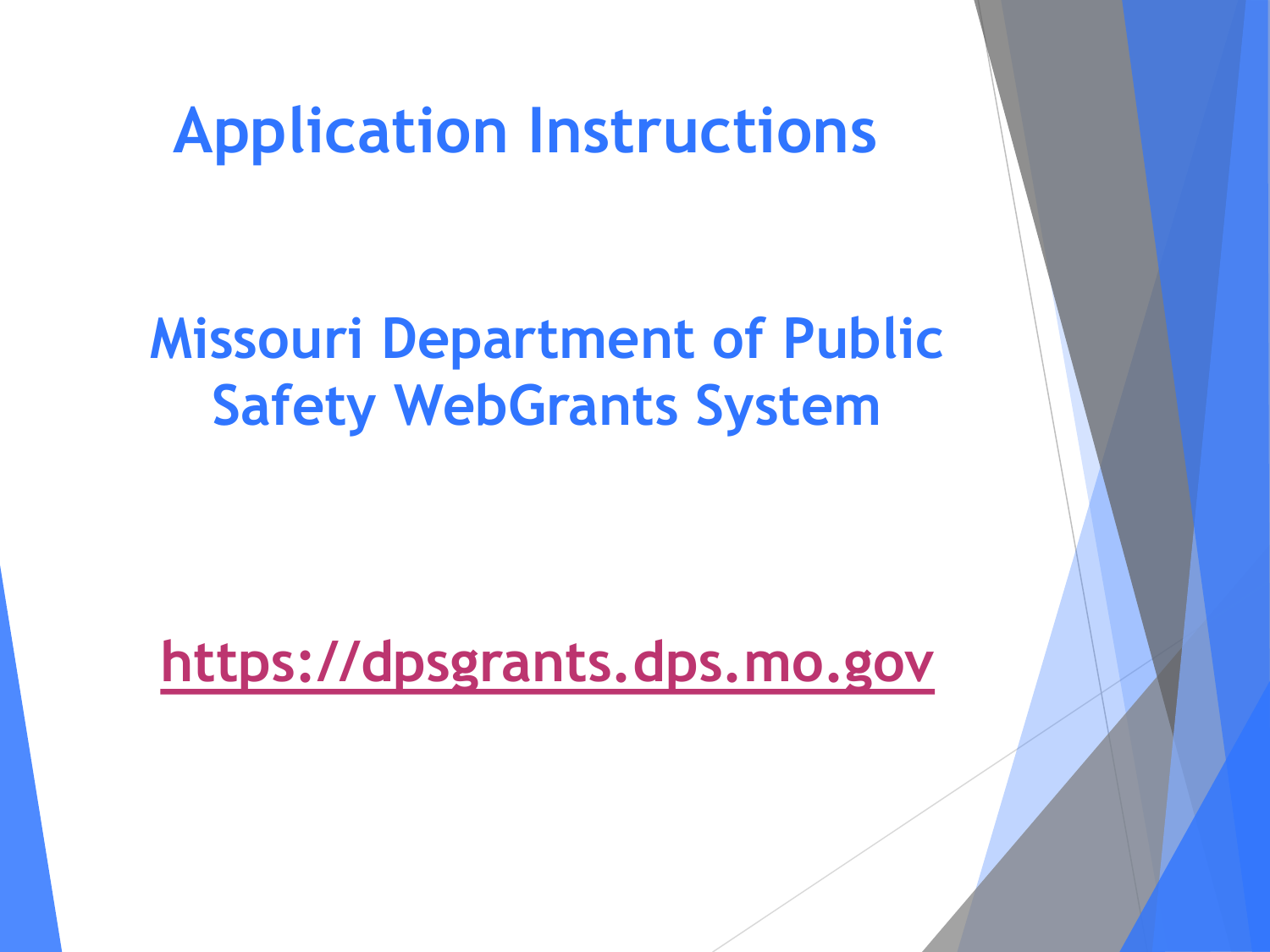#### **Application Instructions**

#### **Missouri Department of Public Safety WebGrants System**

**[https://dpsgrants.dps.mo.gov](https://dpsgrants.dps.mo.gov/)**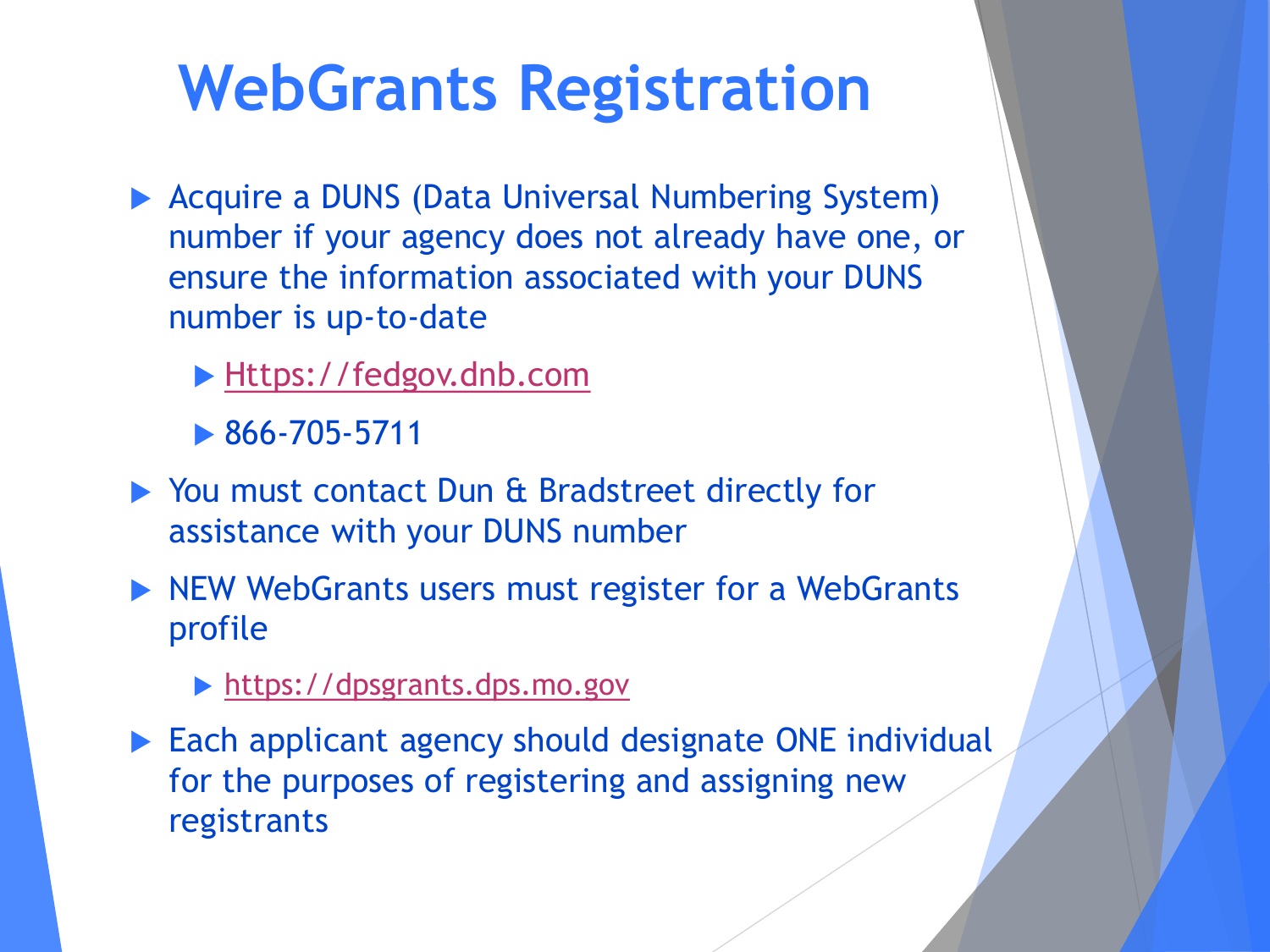## **WebGrants Registration**

- ▶ Acquire a DUNS (Data Universal Numbering System) number if your agency does not already have one, or ensure the information associated with your DUNS number is up-to-date
	- [Https://fedgov.dnb.com](https://fedgov.dnb.com/)
	- $\triangleright$  866-705-5711
- ▶ You must contact Dun & Bradstreet directly for assistance with your DUNS number
- NEW WebGrants users must register for a WebGrants profile
	- ▶ [https://dpsgrants.dps.mo.gov](https://dpsgrants.dps.mo.gov/)
- Each applicant agency should designate ONE individual for the purposes of registering and assigning new registrants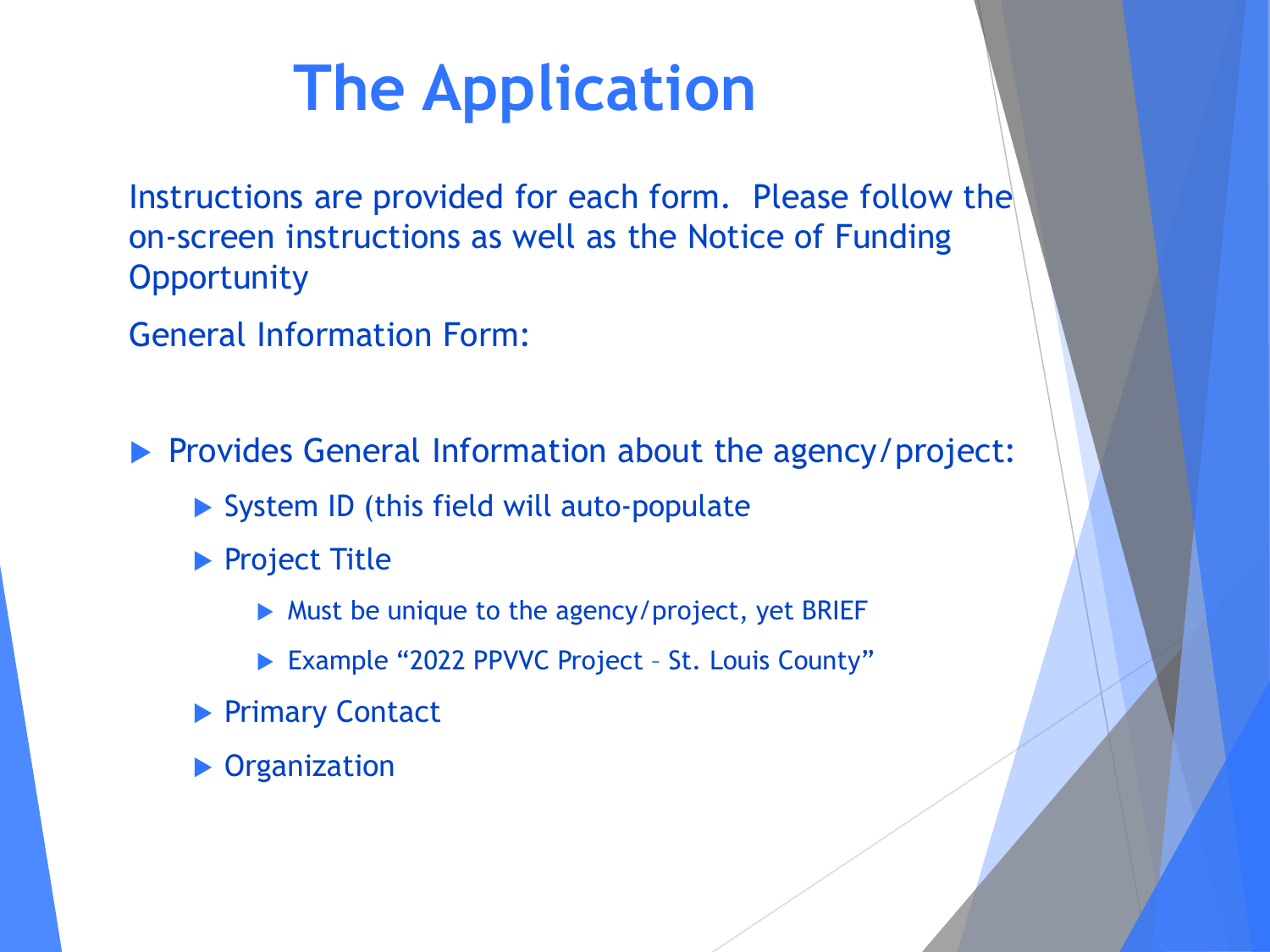Instructions are provided for each form. Please follow the on-screen instructions as well as the Notice of Funding **Opportunity** 

General Information Form:

**Provides General Information about the agency/project:** 

- System ID (this field will auto-populate
- ▶ Project Title
	- Must be unique to the agency/project, yet BRIEF
	- ▶ Example "2022 PPVVC Project St. Louis County"
- ▶ Primary Contact
- **Depanization**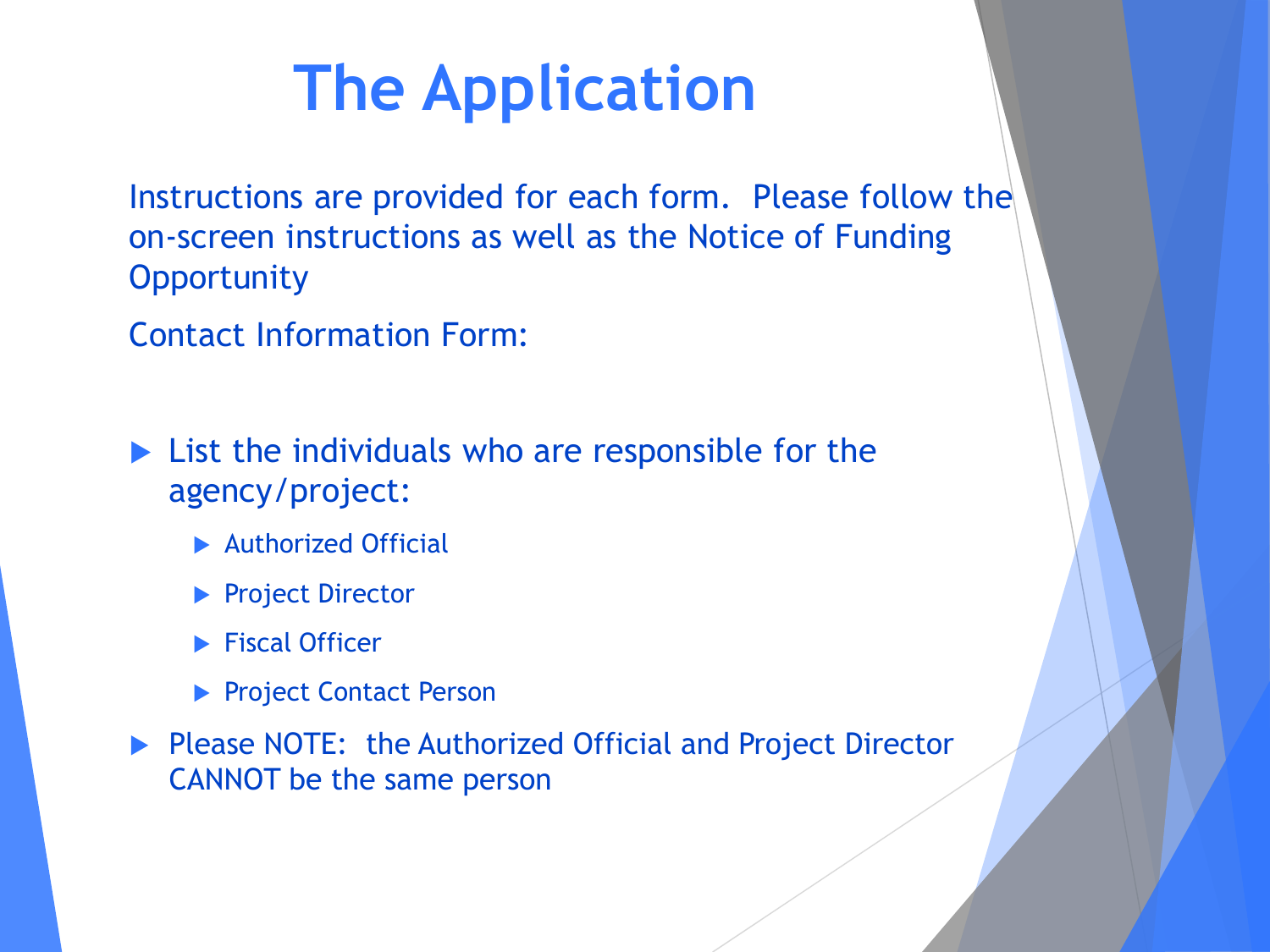Instructions are provided for each form. Please follow the on-screen instructions as well as the Notice of Funding **Opportunity** 

Contact Information Form:

**List the individuals who are responsible for the** agency/project:

- **Authorized Official**
- **Project Director**
- $\blacktriangleright$  Fiscal Officer
- **Project Contact Person**
- **Please NOTE: the Authorized Official and Project Director** CANNOT be the same person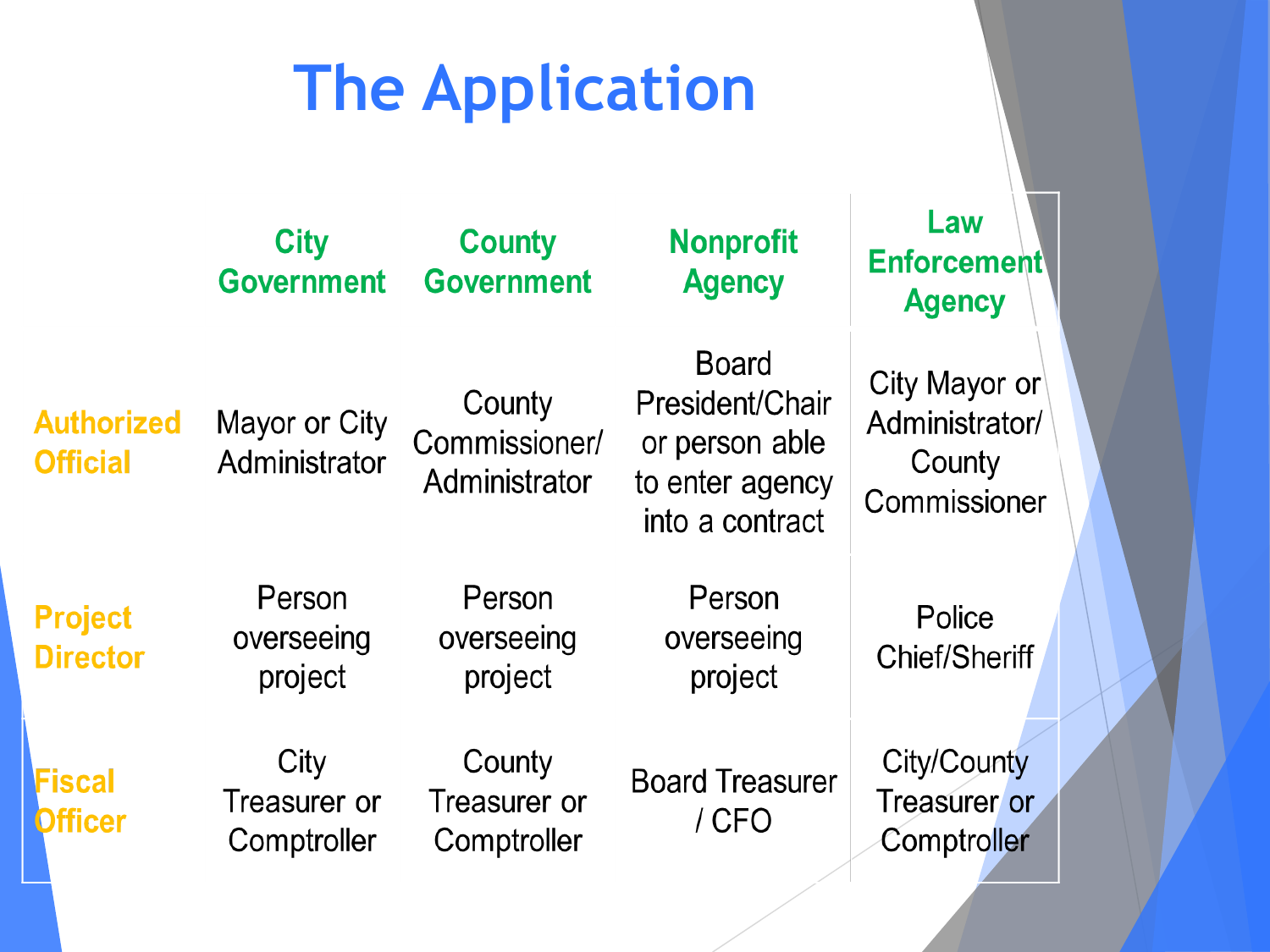|                                      | <b>City</b><br><b>Government</b>    | <b>County</b><br><b>Government</b>       | <b>Nonprofit</b><br><b>Agency</b>                                                       | Law<br><b>Enforcement</b><br><b>Agency</b>                |
|--------------------------------------|-------------------------------------|------------------------------------------|-----------------------------------------------------------------------------------------|-----------------------------------------------------------|
| <b>Authorized</b><br><b>Official</b> | Mayor or City<br>Administrator      | County<br>Commissioner/<br>Administrator | <b>Board</b><br>President/Chair<br>or person able<br>to enter agency<br>into a contract | City Mayor or<br>Administrator/<br>County<br>Commissioner |
| <b>Project</b><br><b>Director</b>    | Person<br>overseeing<br>project     | Person<br>overseeing<br>project          | Person<br>overseeing<br>project                                                         | Police<br><b>Chief/Sheriff</b>                            |
| Fiscal<br><b>Officer</b>             | City<br>Treasurer or<br>Comptroller | County<br>Treasurer or<br>Comptroller    | <b>Board Treasurer</b><br>/ CFO                                                         | City/County<br>Treasurer or<br>Comptroller                |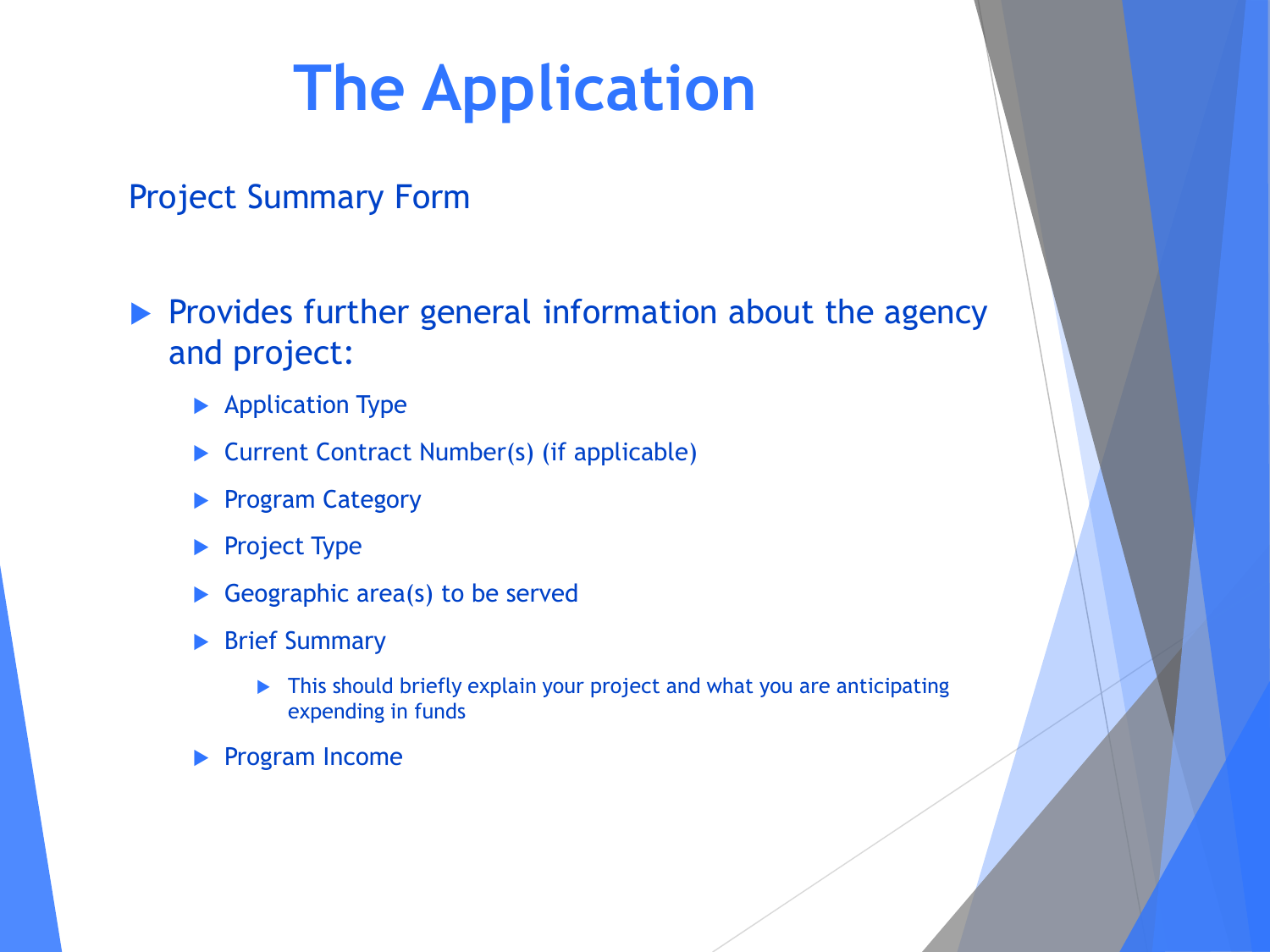#### Project Summary Form

 $\blacktriangleright$  Provides further general information about the agency and project:

- **Application Type**
- ▶ Current Contract Number(s) (if applicable)
- **Program Category**
- Project Type
- Geographic area(s) to be served
- **Brief Summary** 
	- ▶ This should briefly explain your project and what you are anticipating expending in funds
- Program Income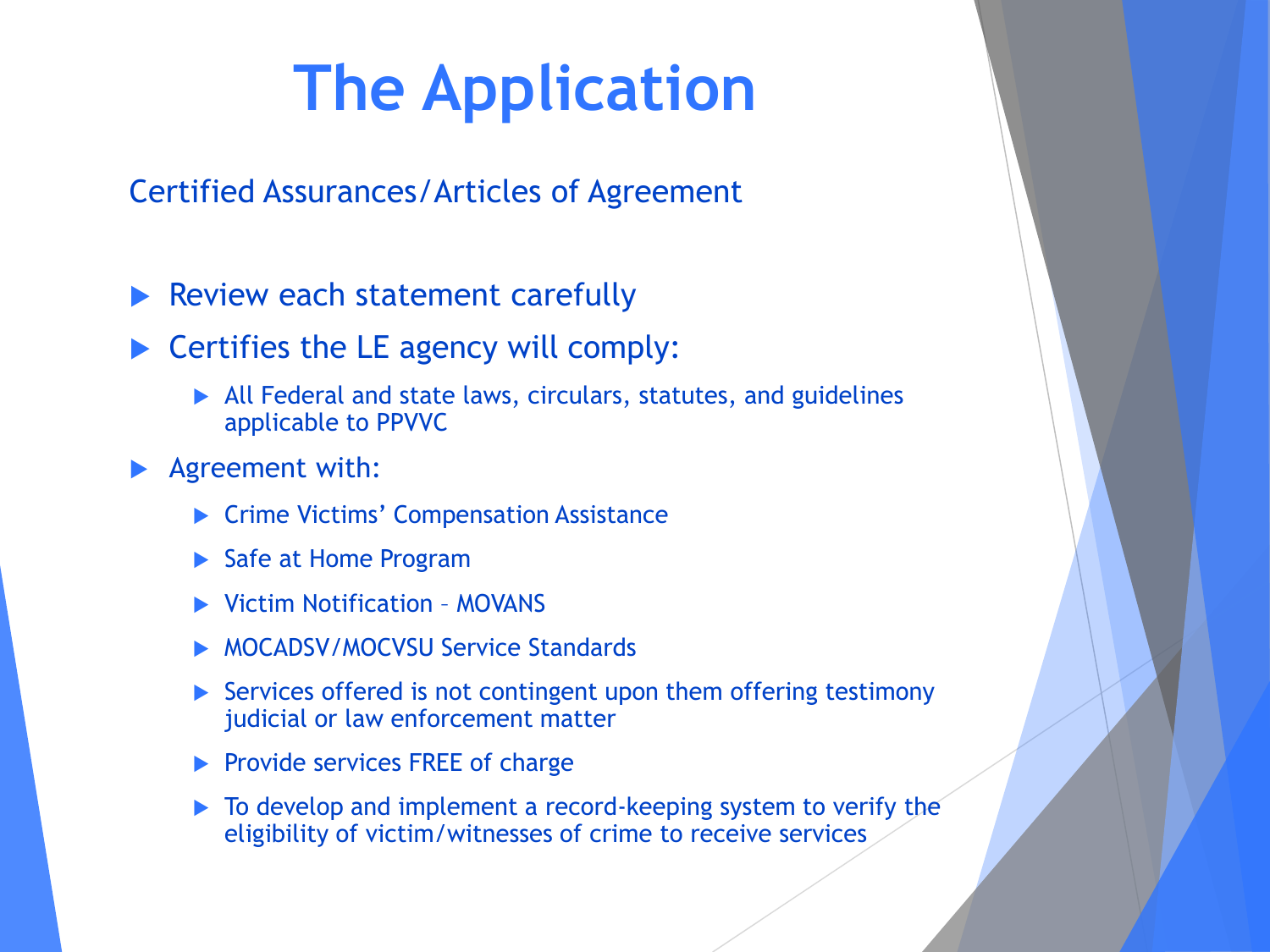Certified Assurances/Articles of Agreement

 $\blacktriangleright$  Review each statement carefully

- $\triangleright$  Certifies the LE agency will comply:
	- All Federal and state laws, circulars, statutes, and guidelines applicable to PPVVC
- Agreement with:
	- ▶ Crime Victims' Compensation Assistance
	- ▶ Safe at Home Program
	- Victim Notification MOVANS
	- MOCADSV/MOCVSU Service Standards
	- ▶ Services offered is not contingent upon them offering testimony judicial or law enforcement matter
	- $\blacktriangleright$  Provide services FREE of charge
	- $\triangleright$  To develop and implement a record-keeping system to verify the eligibility of victim/witnesses of crime to receive services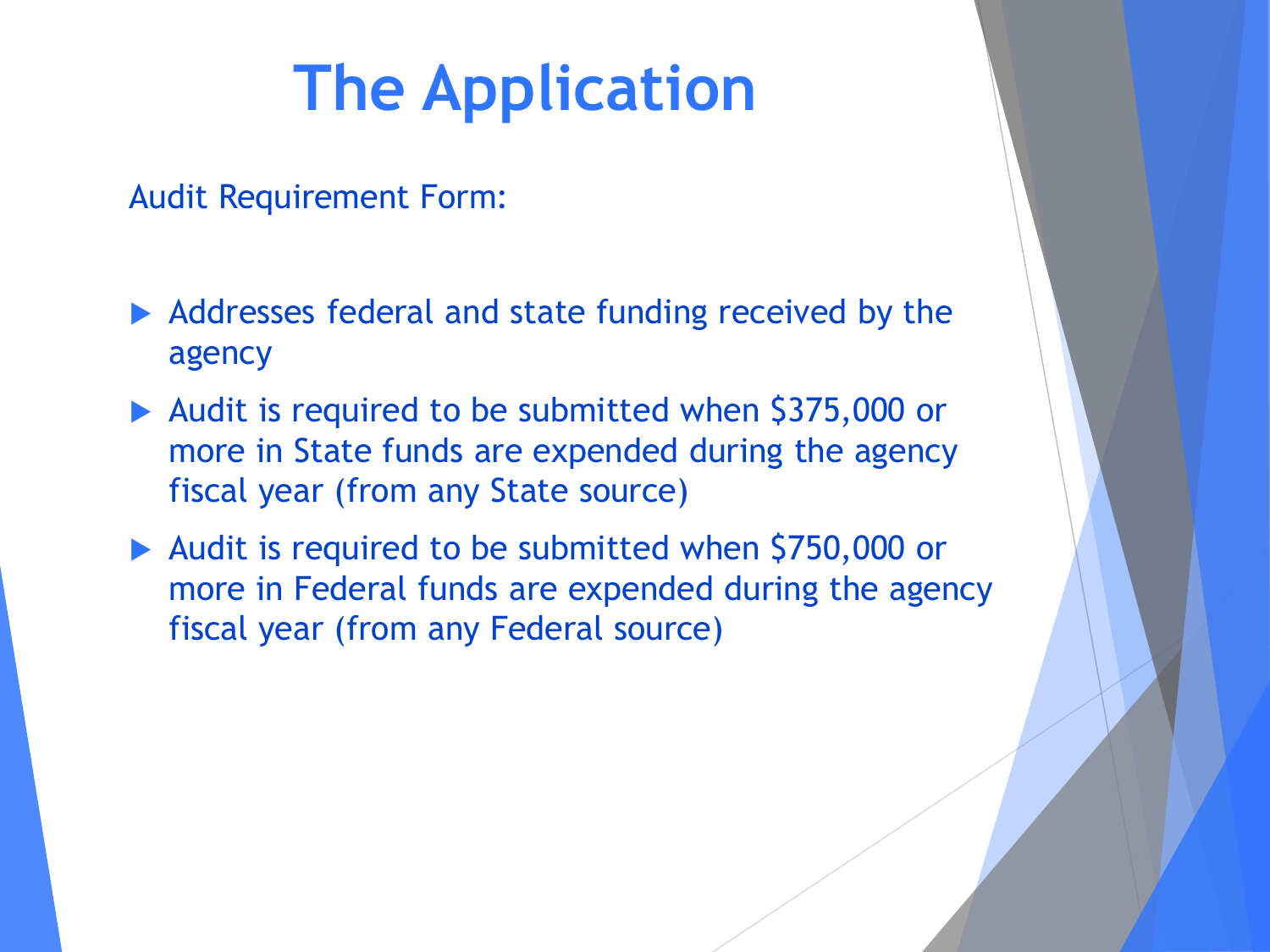Audit Requirement Form:

- ▶ Addresses federal and state funding received by the agency
- Audit is required to be submitted when \$375,000 or more in State funds are expended during the agency fiscal year (from any State source)
- ▶ Audit is required to be submitted when \$750,000 or more in Federal funds are expended during the agency fiscal year (from any Federal source)